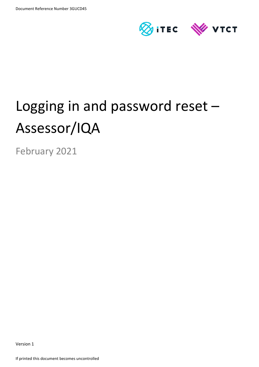

# Logging in and password reset – Assessor/IQA

February 2021

Version 1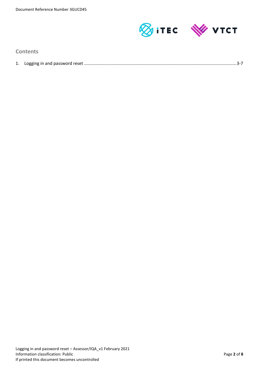

# **Contents**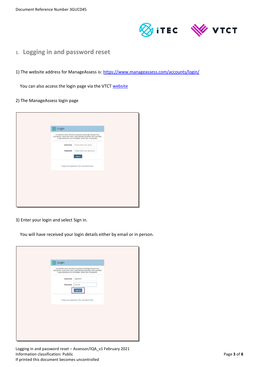

- **1. Logging in and password reset**
- 1) The website address for ManageAssess is: <https://www.manageassess.com/accounts/login/>

You can also access the login page via the VTCT [website](http://www.vtct.org.uk/existing-centres/resources/manageassess/)

#### 2) The ManageAssess login page

| Login<br>曰<br>Let learners show off newly-acquired knowledge through text,                                                                                             |
|------------------------------------------------------------------------------------------------------------------------------------------------------------------------|
| illustrations, audio and video, automatically uploaded into a portfolio to give assessors an immediate, broad view of progress.<br>Please enter your email<br>Username |
| Please enter your password<br>Password<br>Sign in                                                                                                                      |
| Forgot your password? You can reset it here.                                                                                                                           |
|                                                                                                                                                                        |
|                                                                                                                                                                        |
|                                                                                                                                                                        |

3) Enter your login and select Sign in.

You will have received your login details either by email or in person.

| Login<br>国                                                                                                                                                                                         |  |
|----------------------------------------------------------------------------------------------------------------------------------------------------------------------------------------------------|--|
| Let learners show off newly-acquired knowledge through text,<br>illustrations, audio and video, automatically uploaded into a portfolio<br>to give assessors an immediate, broad view of progress. |  |
| logintest2<br>Username                                                                                                                                                                             |  |
| Password<br>                                                                                                                                                                                       |  |
| Sign in                                                                                                                                                                                            |  |
| Forgot your password? You can reset it here.                                                                                                                                                       |  |
|                                                                                                                                                                                                    |  |
|                                                                                                                                                                                                    |  |
|                                                                                                                                                                                                    |  |
|                                                                                                                                                                                                    |  |
|                                                                                                                                                                                                    |  |
|                                                                                                                                                                                                    |  |

Logging in and password reset – Assessor/IQA\_v1 February 2021 Information classification: Public Page **3** of **8** and **Page 3** of **8** and **Page 3** of **8** If printed this document becomes uncontrolled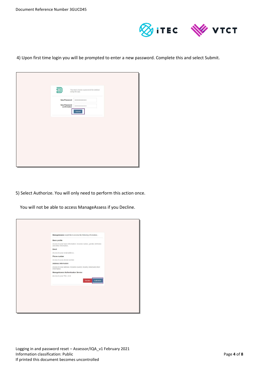

4) Upon first time login you will be prompted to enter a new password. Complete this and select Submit.

| 囙<br>You must choose a password to continue<br>using the app. |
|---------------------------------------------------------------|
| New Password<br>                                              |
| New Password<br><br>confirmation                              |
| Submit                                                        |
|                                                               |
|                                                               |
|                                                               |
|                                                               |
|                                                               |
|                                                               |
|                                                               |
|                                                               |

5) Select Authorize. You will only need to perform this action once.

You will not be able to access ManageAssess if you Decline.

| ManageAssess would like to access the following information                                   |
|-----------------------------------------------------------------------------------------------|
| <b>Basic profile</b>                                                                          |
| Access to your basic information. Includes names, gender, birthdate<br>and other information. |
| Email                                                                                         |
| Access to your email address.                                                                 |
| Phone number                                                                                  |
| Access to your phone number.                                                                  |
| Address information                                                                           |
| Access to your address. Includes country, locality, street and other<br>information.          |
| ManageAssess Authentication Service                                                           |
| Access to your Title, ULN<br><b>Decline</b><br>Authorize                                      |
|                                                                                               |
|                                                                                               |
|                                                                                               |
|                                                                                               |
|                                                                                               |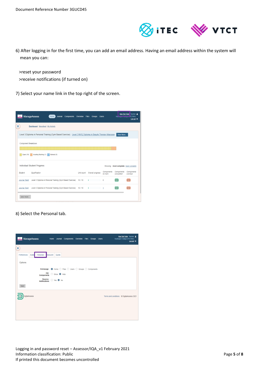

- 6) After logging in for the first time, you can add an email address. Having an email address within the system will mean you can:
	- >reset your password
	- >receive notifications (if turned on)
- 7) Select your name link in the top right of the screen.



## 8) Select the Personal tab.



Logging in and password reset – Assessor/IQA\_v1 February 2021 Information classification: Public Page 5 of 8 If printed this document becomes uncontrolled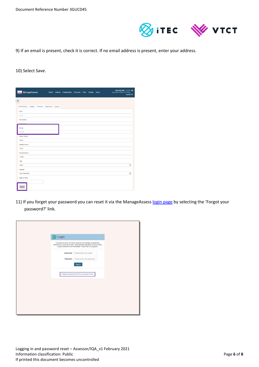

# 9) If an email is present, check it is correct. If no email address is present, enter your address.

#### 10) Select Save.

| $\mathbb{R}^n$     | ManageAssess |          |          | Home Journal | Components Overview Files |  | Groups Users | New Test Tutor Teacher<br>Huntington College (VTCT/KH)<br>Log out @ |
|--------------------|--------------|----------|----------|--------------|---------------------------|--|--------------|---------------------------------------------------------------------|
| Ξ                  |              |          |          |              |                           |  |              |                                                                     |
| Preferences        | Avatar       | Personal | Password | Quota        |                           |  |              |                                                                     |
| <b>ULN</b>         |              |          |          |              |                           |  |              |                                                                     |
| <b>ULN</b>         |              |          |          |              |                           |  |              |                                                                     |
| Username           |              |          |          |              |                           |  |              |                                                                     |
| <b>Usemame</b>     |              |          |          |              |                           |  |              |                                                                     |
| Email              |              |          |          |              |                           |  |              |                                                                     |
| Email              |              |          |          |              |                           |  |              |                                                                     |
| <b>Given Name</b>  |              |          |          |              |                           |  |              |                                                                     |
| <b>New</b>         |              |          |          |              |                           |  |              |                                                                     |
| Middle Name        |              |          |          |              |                           |  |              |                                                                     |
| Test               |              |          |          |              |                           |  |              |                                                                     |
| <b>Family Name</b> |              |          |          |              |                           |  |              |                                                                     |
| Tutor              |              |          |          |              |                           |  |              |                                                                     |
| Title              |              |          |          |              |                           |  |              |                                                                     |
| <b>Miss</b>        |              |          |          |              |                           |  |              | $\pmb{\div}$                                                        |
| Gender             |              |          |          |              |                           |  |              |                                                                     |
| Not Specified      |              |          |          |              |                           |  |              | $\pmb{\div}$                                                        |
| Date of Birth      |              |          |          |              |                           |  |              |                                                                     |
|                    |              |          |          |              |                           |  |              |                                                                     |
| Save               |              |          |          |              |                           |  |              |                                                                     |

11) If you forget your password you can reset it via the ManageAsses[s login page](https://www.manageassess.com/accounts/login/) by selecting the 'Forgot your password?' link.

| Login<br>5 |                                                                                                                                                                                                    |
|------------|----------------------------------------------------------------------------------------------------------------------------------------------------------------------------------------------------|
|            | Let learners show off newly-acquired knowledge through text,<br>illustrations, audio and video, automatically uploaded into a portfolio<br>to give assessors an immediate, broad view of progress. |
| Username   | Please enter your email                                                                                                                                                                            |
| Password   | Please enter your password                                                                                                                                                                         |
|            | Sign in                                                                                                                                                                                            |
|            | Forgot your password? You can reset it here.                                                                                                                                                       |
|            |                                                                                                                                                                                                    |
|            |                                                                                                                                                                                                    |
|            |                                                                                                                                                                                                    |
|            |                                                                                                                                                                                                    |
|            |                                                                                                                                                                                                    |
|            |                                                                                                                                                                                                    |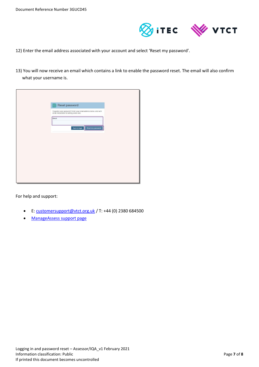

- 12) Enter the email address associated with your account and select 'Reset my password'.
- 13) You will now receive an email which contains a link to enable the password reset. The email will also confirm what your username is.

| Reset password<br>囙                                                                                          |  |
|--------------------------------------------------------------------------------------------------------------|--|
| Forgotten your password? Enter your email address below, and we'll email instructions for setting a new one. |  |
| Email                                                                                                        |  |
| <b>Back to login</b><br>Reset my password                                                                    |  |
|                                                                                                              |  |
|                                                                                                              |  |
|                                                                                                              |  |
|                                                                                                              |  |
|                                                                                                              |  |
|                                                                                                              |  |
|                                                                                                              |  |

For help and support:

- E: [customersupport@vtct.org.uk](mailto:customersupport@vtct.org.uk) / T: +44 (0) 2380 684500
- [ManageAssess support page](http://www.vtct.org.uk/existing-centres/resources/manageassess/)